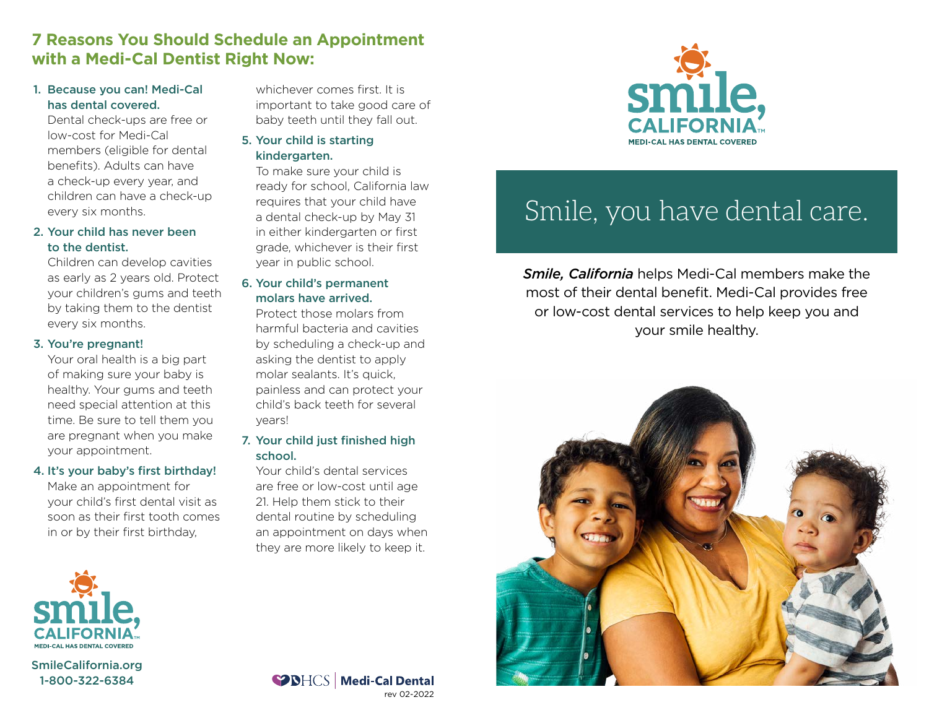## **7 Reasons You Should Schedule an Appointment with a Medi-Cal Dentist Right Now:**

#### 1. Because you can! Medi-Cal has dental covered.

Dental check-ups are free or low-cost for Medi-Cal members (eligible for dental benefits). Adults can have a check-up every year, and children can have a check-up every six months.

#### 2. Your child has never been to the dentist.

Children can develop cavities as early as 2 years old. Protect your children's gums and teeth by taking them to the dentist every six months.

#### 3. You're pregnant!

Your oral health is a big part of making sure your baby is healthy. Your gums and teeth need special attention at this time. Be sure to tell them you are pregnant when you make your appointment.

#### 4. It's your baby's first birthday!

Make an appointment for your child's first dental visit as soon as their first tooth comes in or by their first birthday,



[SmileCalifornia.org](www.SmileCalifornia.org) 1-800-322-6384

whichever comes first. It is important to take good care of baby teeth until they fall out.

5. Your child is starting kindergarten.

To make sure your child is ready for school, California law requires that your child have a dental check-up by May 31 in either kindergarten or first grade, whichever is their first year in public school.

#### 6. Your child's permanent molars have arrived.

Protect those molars from harmful bacteria and cavities by scheduling a check-up and asking the dentist to apply molar sealants. It's quick, painless and can protect your child's back teeth for several years!

#### 7. Your child just finished high school.

Your child's dental services are free or low-cost until age 21. Help them stick to their dental routine by scheduling an appointment on days when they are more likely to keep it.



# Smile, you have dental care.

*Smile, California* helps Medi-Cal members make the most of their dental benefit. Medi-Cal provides free or low-cost dental services to help keep you and your smile healthy.



SPIHOS | Medi-Cal Dental rev 02-2022